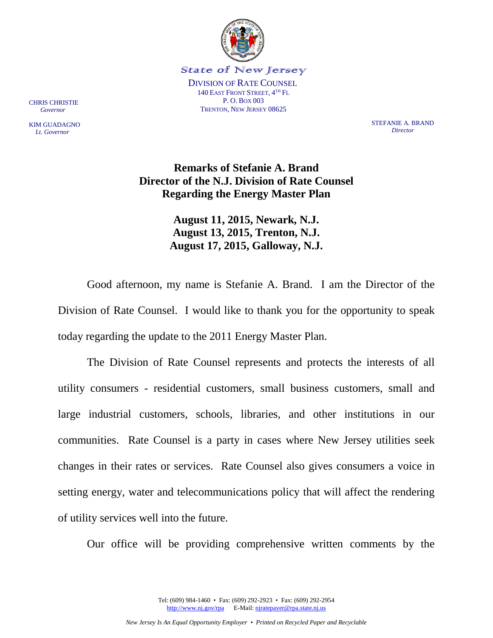

CHRIS CHRISTIE  *Governor*

KIM GUADAGNO  *Lt. Governor*

STEFANIE A. BRAND *Director*

# **Remarks of Stefanie A. Brand Director of the N.J. Division of Rate Counsel Regarding the Energy Master Plan**

**August 11, 2015, Newark, N.J. August 13, 2015, Trenton, N.J. August 17, 2015, Galloway, N.J.** 

Good afternoon, my name is Stefanie A. Brand. I am the Director of the Division of Rate Counsel. I would like to thank you for the opportunity to speak today regarding the update to the 2011 Energy Master Plan.

The Division of Rate Counsel represents and protects the interests of all utility consumers - residential customers, small business customers, small and large industrial customers, schools, libraries, and other institutions in our communities. Rate Counsel is a party in cases where New Jersey utilities seek changes in their rates or services. Rate Counsel also gives consumers a voice in setting energy, water and telecommunications policy that will affect the rendering of utility services well into the future.

Our office will be providing comprehensive written comments by the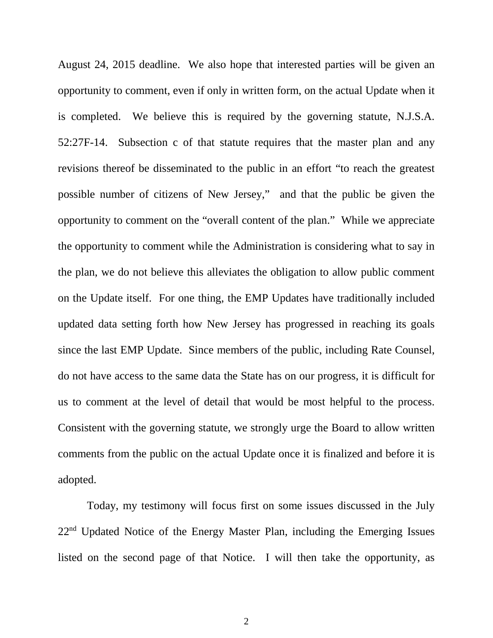August 24, 2015 deadline. We also hope that interested parties will be given an opportunity to comment, even if only in written form, on the actual Update when it is completed. We believe this is required by the governing statute, N.J.S.A. 52:27F-14. Subsection c of that statute requires that the master plan and any revisions thereof be disseminated to the public in an effort "to reach the greatest possible number of citizens of New Jersey," and that the public be given the opportunity to comment on the "overall content of the plan." While we appreciate the opportunity to comment while the Administration is considering what to say in the plan, we do not believe this alleviates the obligation to allow public comment on the Update itself. For one thing, the EMP Updates have traditionally included updated data setting forth how New Jersey has progressed in reaching its goals since the last EMP Update. Since members of the public, including Rate Counsel, do not have access to the same data the State has on our progress, it is difficult for us to comment at the level of detail that would be most helpful to the process. Consistent with the governing statute, we strongly urge the Board to allow written comments from the public on the actual Update once it is finalized and before it is adopted.

Today, my testimony will focus first on some issues discussed in the July 22<sup>nd</sup> Updated Notice of the Energy Master Plan, including the Emerging Issues listed on the second page of that Notice. I will then take the opportunity, as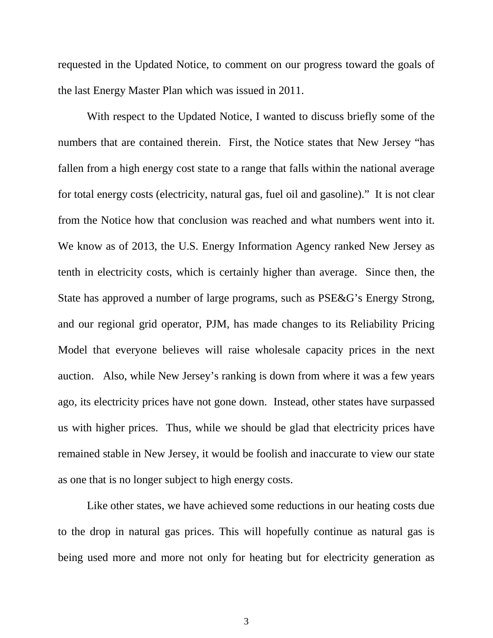requested in the Updated Notice, to comment on our progress toward the goals of the last Energy Master Plan which was issued in 2011.

With respect to the Updated Notice, I wanted to discuss briefly some of the numbers that are contained therein. First, the Notice states that New Jersey "has fallen from a high energy cost state to a range that falls within the national average for total energy costs (electricity, natural gas, fuel oil and gasoline)." It is not clear from the Notice how that conclusion was reached and what numbers went into it. We know as of 2013, the U.S. Energy Information Agency ranked New Jersey as tenth in electricity costs, which is certainly higher than average. Since then, the State has approved a number of large programs, such as PSE&G's Energy Strong, and our regional grid operator, PJM, has made changes to its Reliability Pricing Model that everyone believes will raise wholesale capacity prices in the next auction. Also, while New Jersey's ranking is down from where it was a few years ago, its electricity prices have not gone down. Instead, other states have surpassed us with higher prices. Thus, while we should be glad that electricity prices have remained stable in New Jersey, it would be foolish and inaccurate to view our state as one that is no longer subject to high energy costs.

Like other states, we have achieved some reductions in our heating costs due to the drop in natural gas prices. This will hopefully continue as natural gas is being used more and more not only for heating but for electricity generation as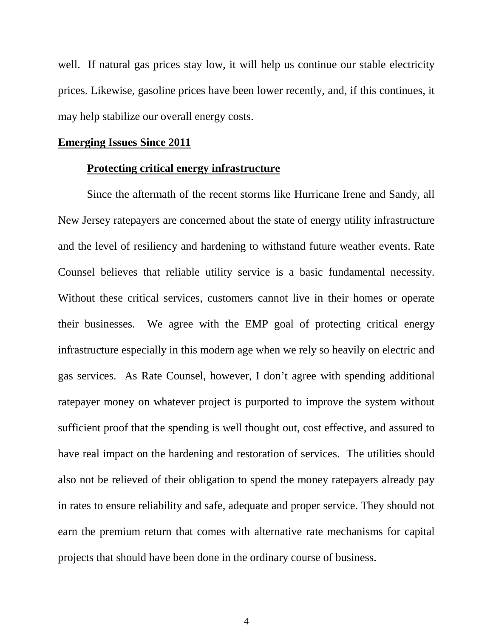well. If natural gas prices stay low, it will help us continue our stable electricity prices. Likewise, gasoline prices have been lower recently, and, if this continues, it may help stabilize our overall energy costs.

## **Emerging Issues Since 2011**

## **Protecting critical energy infrastructure**

Since the aftermath of the recent storms like Hurricane Irene and Sandy, all New Jersey ratepayers are concerned about the state of energy utility infrastructure and the level of resiliency and hardening to withstand future weather events. Rate Counsel believes that reliable utility service is a basic fundamental necessity. Without these critical services, customers cannot live in their homes or operate their businesses. We agree with the EMP goal of protecting critical energy infrastructure especially in this modern age when we rely so heavily on electric and gas services. As Rate Counsel, however, I don't agree with spending additional ratepayer money on whatever project is purported to improve the system without sufficient proof that the spending is well thought out, cost effective, and assured to have real impact on the hardening and restoration of services. The utilities should also not be relieved of their obligation to spend the money ratepayers already pay in rates to ensure reliability and safe, adequate and proper service. They should not earn the premium return that comes with alternative rate mechanisms for capital projects that should have been done in the ordinary course of business.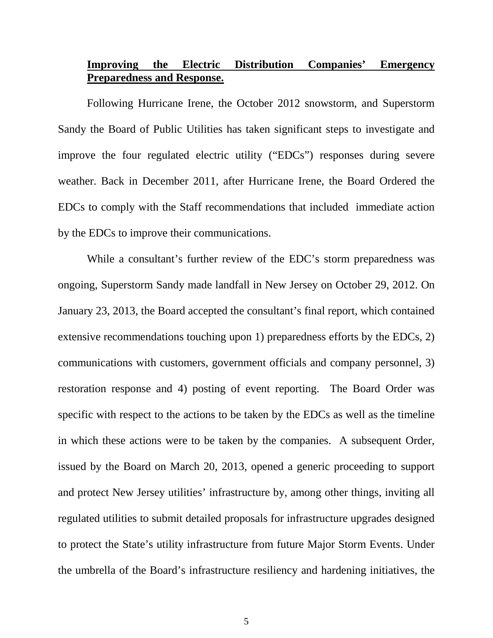## **Improving the Electric Distribution Companies' Emergency Preparedness and Response.**

Following Hurricane Irene, the October 2012 snowstorm, and Superstorm Sandy the Board of Public Utilities has taken significant steps to investigate and improve the four regulated electric utility ("EDCs") responses during severe weather. Back in December 2011, after Hurricane Irene, the Board Ordered the EDCs to comply with the Staff recommendations that included immediate action by the EDCs to improve their communications.

While a consultant's further review of the EDC's storm preparedness was ongoing, Superstorm Sandy made landfall in New Jersey on October 29, 2012. On January 23, 2013, the Board accepted the consultant's final report, which contained extensive recommendations touching upon 1) preparedness efforts by the EDCs, 2) communications with customers, government officials and company personnel, 3) restoration response and 4) posting of event reporting. The Board Order was specific with respect to the actions to be taken by the EDCs as well as the timeline in which these actions were to be taken by the companies. A subsequent Order, issued by the Board on March 20, 2013, opened a generic proceeding to support and protect New Jersey utilities' infrastructure by, among other things, inviting all regulated utilities to submit detailed proposals for infrastructure upgrades designed to protect the State's utility infrastructure from future Major Storm Events. Under the umbrella of the Board's infrastructure resiliency and hardening initiatives, the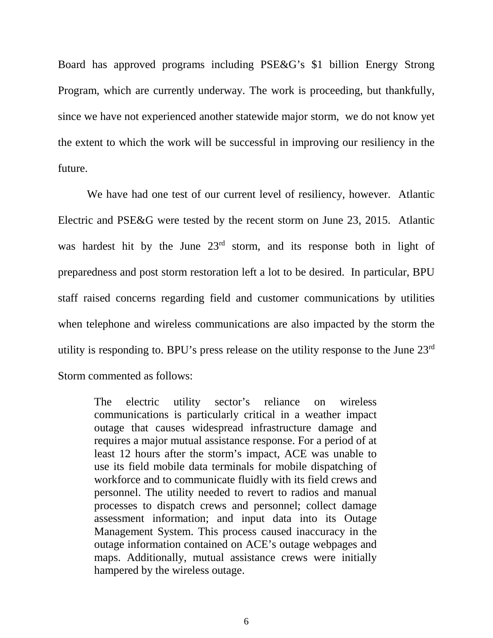Board has approved programs including PSE&G's \$1 billion Energy Strong Program, which are currently underway. The work is proceeding, but thankfully, since we have not experienced another statewide major storm, we do not know yet the extent to which the work will be successful in improving our resiliency in the future.

We have had one test of our current level of resiliency, however. Atlantic Electric and PSE&G were tested by the recent storm on June 23, 2015. Atlantic was hardest hit by the June  $23<sup>rd</sup>$  storm, and its response both in light of preparedness and post storm restoration left a lot to be desired. In particular, BPU staff raised concerns regarding field and customer communications by utilities when telephone and wireless communications are also impacted by the storm the utility is responding to. BPU's press release on the utility response to the June 23rd Storm commented as follows:

The electric utility sector's reliance on wireless communications is particularly critical in a weather impact outage that causes widespread infrastructure damage and requires a major mutual assistance response. For a period of at least 12 hours after the storm's impact, ACE was unable to use its field mobile data terminals for mobile dispatching of workforce and to communicate fluidly with its field crews and personnel. The utility needed to revert to radios and manual processes to dispatch crews and personnel; collect damage assessment information; and input data into its Outage Management System. This process caused inaccuracy in the outage information contained on ACE's outage webpages and maps. Additionally, mutual assistance crews were initially hampered by the wireless outage.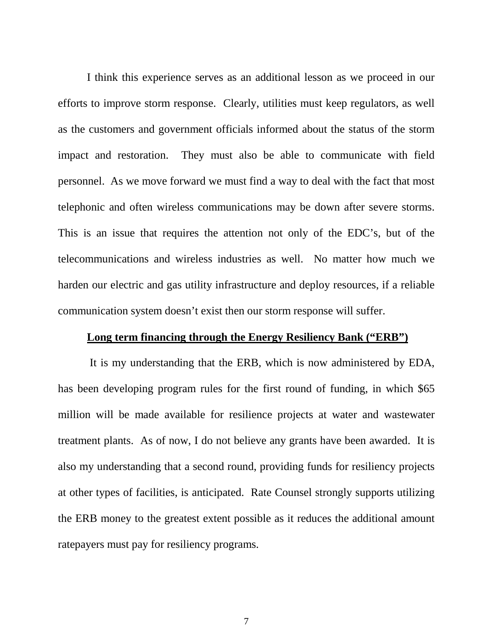I think this experience serves as an additional lesson as we proceed in our efforts to improve storm response. Clearly, utilities must keep regulators, as well as the customers and government officials informed about the status of the storm impact and restoration. They must also be able to communicate with field personnel. As we move forward we must find a way to deal with the fact that most telephonic and often wireless communications may be down after severe storms. This is an issue that requires the attention not only of the EDC's, but of the telecommunications and wireless industries as well. No matter how much we harden our electric and gas utility infrastructure and deploy resources, if a reliable communication system doesn't exist then our storm response will suffer.

#### **Long term financing through the Energy Resiliency Bank ("ERB")**

It is my understanding that the ERB, which is now administered by EDA, has been developing program rules for the first round of funding, in which \$65 million will be made available for resilience projects at water and wastewater treatment plants. As of now, I do not believe any grants have been awarded. It is also my understanding that a second round, providing funds for resiliency projects at other types of facilities, is anticipated. Rate Counsel strongly supports utilizing the ERB money to the greatest extent possible as it reduces the additional amount ratepayers must pay for resiliency programs.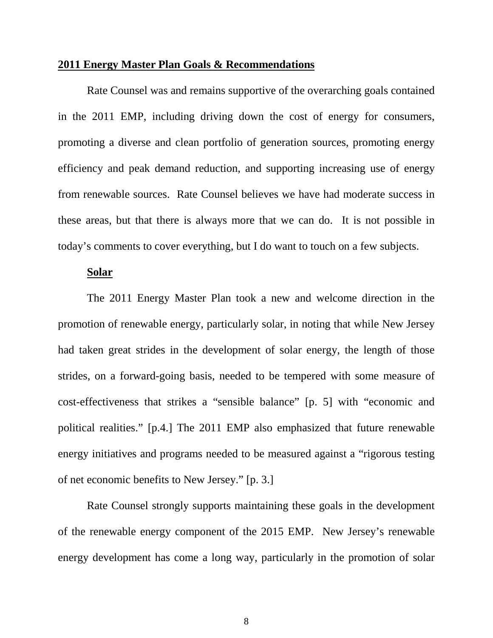#### **2011 Energy Master Plan Goals & Recommendations**

Rate Counsel was and remains supportive of the overarching goals contained in the 2011 EMP, including driving down the cost of energy for consumers, promoting a diverse and clean portfolio of generation sources, promoting energy efficiency and peak demand reduction, and supporting increasing use of energy from renewable sources. Rate Counsel believes we have had moderate success in these areas, but that there is always more that we can do. It is not possible in today's comments to cover everything, but I do want to touch on a few subjects.

## **Solar**

The 2011 Energy Master Plan took a new and welcome direction in the promotion of renewable energy, particularly solar, in noting that while New Jersey had taken great strides in the development of solar energy, the length of those strides, on a forward-going basis, needed to be tempered with some measure of cost-effectiveness that strikes a "sensible balance" [p. 5] with "economic and political realities." [p.4.] The 2011 EMP also emphasized that future renewable energy initiatives and programs needed to be measured against a "rigorous testing of net economic benefits to New Jersey." [p. 3.]

Rate Counsel strongly supports maintaining these goals in the development of the renewable energy component of the 2015 EMP. New Jersey's renewable energy development has come a long way, particularly in the promotion of solar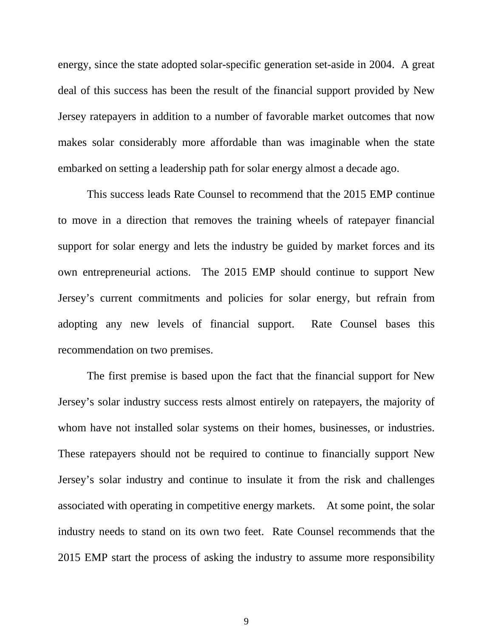energy, since the state adopted solar-specific generation set-aside in 2004. A great deal of this success has been the result of the financial support provided by New Jersey ratepayers in addition to a number of favorable market outcomes that now makes solar considerably more affordable than was imaginable when the state embarked on setting a leadership path for solar energy almost a decade ago.

This success leads Rate Counsel to recommend that the 2015 EMP continue to move in a direction that removes the training wheels of ratepayer financial support for solar energy and lets the industry be guided by market forces and its own entrepreneurial actions. The 2015 EMP should continue to support New Jersey's current commitments and policies for solar energy, but refrain from adopting any new levels of financial support. Rate Counsel bases this recommendation on two premises.

The first premise is based upon the fact that the financial support for New Jersey's solar industry success rests almost entirely on ratepayers, the majority of whom have not installed solar systems on their homes, businesses, or industries. These ratepayers should not be required to continue to financially support New Jersey's solar industry and continue to insulate it from the risk and challenges associated with operating in competitive energy markets. At some point, the solar industry needs to stand on its own two feet. Rate Counsel recommends that the 2015 EMP start the process of asking the industry to assume more responsibility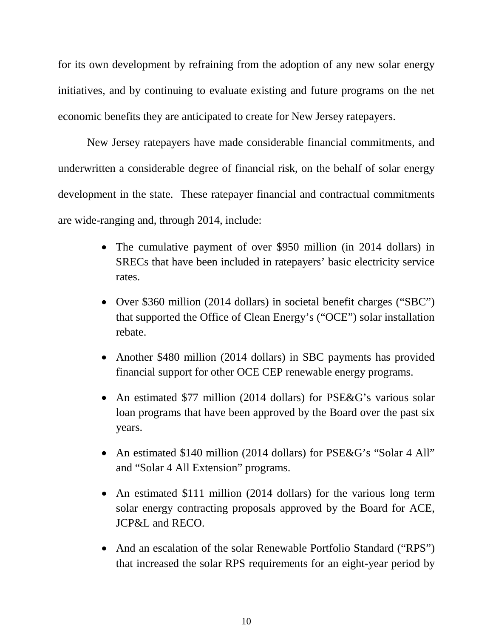for its own development by refraining from the adoption of any new solar energy initiatives, and by continuing to evaluate existing and future programs on the net economic benefits they are anticipated to create for New Jersey ratepayers.

New Jersey ratepayers have made considerable financial commitments, and underwritten a considerable degree of financial risk, on the behalf of solar energy development in the state. These ratepayer financial and contractual commitments are wide-ranging and, through 2014, include:

- The cumulative payment of over \$950 million (in 2014 dollars) in SRECs that have been included in ratepayers' basic electricity service rates.
- Over \$360 million (2014 dollars) in societal benefit charges ("SBC") that supported the Office of Clean Energy's ("OCE") solar installation rebate.
- Another \$480 million (2014 dollars) in SBC payments has provided financial support for other OCE CEP renewable energy programs.
- An estimated \$77 million (2014 dollars) for PSE&G's various solar loan programs that have been approved by the Board over the past six years.
- An estimated \$140 million (2014 dollars) for PSE&G's "Solar 4 All" and "Solar 4 All Extension" programs.
- An estimated \$111 million (2014 dollars) for the various long term solar energy contracting proposals approved by the Board for ACE, JCP&L and RECO.
- And an escalation of the solar Renewable Portfolio Standard ("RPS") that increased the solar RPS requirements for an eight-year period by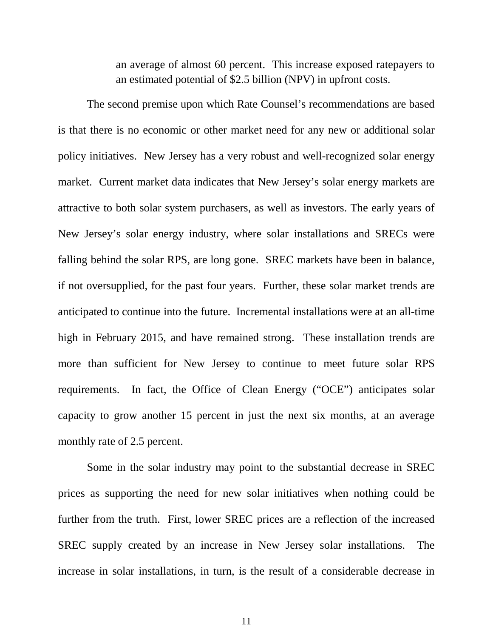an average of almost 60 percent. This increase exposed ratepayers to an estimated potential of \$2.5 billion (NPV) in upfront costs.

The second premise upon which Rate Counsel's recommendations are based is that there is no economic or other market need for any new or additional solar policy initiatives. New Jersey has a very robust and well-recognized solar energy market. Current market data indicates that New Jersey's solar energy markets are attractive to both solar system purchasers, as well as investors. The early years of New Jersey's solar energy industry, where solar installations and SRECs were falling behind the solar RPS, are long gone. SREC markets have been in balance, if not oversupplied, for the past four years. Further, these solar market trends are anticipated to continue into the future. Incremental installations were at an all-time high in February 2015, and have remained strong. These installation trends are more than sufficient for New Jersey to continue to meet future solar RPS requirements. In fact, the Office of Clean Energy ("OCE") anticipates solar capacity to grow another 15 percent in just the next six months, at an average monthly rate of 2.5 percent.

Some in the solar industry may point to the substantial decrease in SREC prices as supporting the need for new solar initiatives when nothing could be further from the truth. First, lower SREC prices are a reflection of the increased SREC supply created by an increase in New Jersey solar installations. The increase in solar installations, in turn, is the result of a considerable decrease in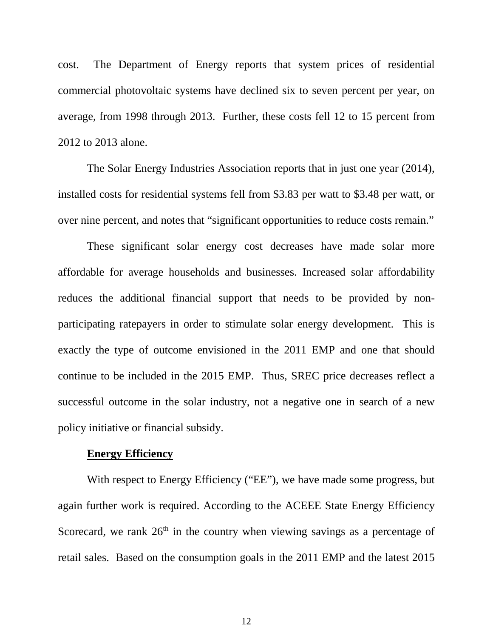cost. The Department of Energy reports that system prices of residential commercial photovoltaic systems have declined six to seven percent per year, on average, from 1998 through 2013. Further, these costs fell 12 to 15 percent from 2012 to 2013 alone.

The Solar Energy Industries Association reports that in just one year (2014), installed costs for residential systems fell from \$3.83 per watt to \$3.48 per watt, or over nine percent, and notes that "significant opportunities to reduce costs remain."

These significant solar energy cost decreases have made solar more affordable for average households and businesses. Increased solar affordability reduces the additional financial support that needs to be provided by nonparticipating ratepayers in order to stimulate solar energy development. This is exactly the type of outcome envisioned in the 2011 EMP and one that should continue to be included in the 2015 EMP. Thus, SREC price decreases reflect a successful outcome in the solar industry, not a negative one in search of a new policy initiative or financial subsidy.

#### **Energy Efficiency**

With respect to Energy Efficiency ("EE"), we have made some progress, but again further work is required. According to the ACEEE State Energy Efficiency Scorecard, we rank  $26<sup>th</sup>$  in the country when viewing savings as a percentage of retail sales. Based on the consumption goals in the 2011 EMP and the latest 2015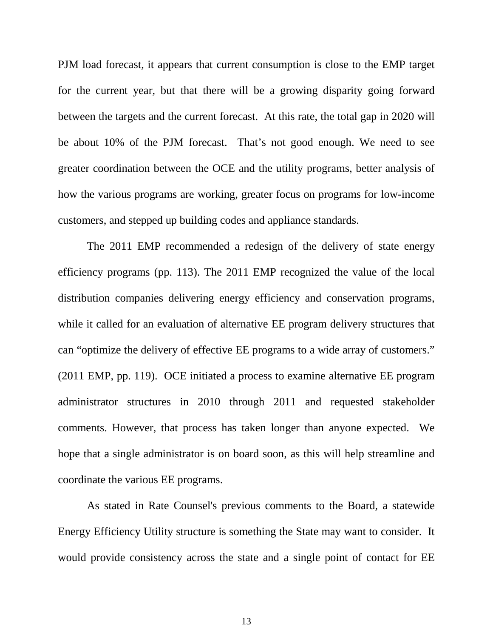PJM load forecast, it appears that current consumption is close to the EMP target for the current year, but that there will be a growing disparity going forward between the targets and the current forecast. At this rate, the total gap in 2020 will be about 10% of the PJM forecast. That's not good enough. We need to see greater coordination between the OCE and the utility programs, better analysis of how the various programs are working, greater focus on programs for low-income customers, and stepped up building codes and appliance standards.

The 2011 EMP recommended a redesign of the delivery of state energy efficiency programs (pp. 113). The 2011 EMP recognized the value of the local distribution companies delivering energy efficiency and conservation programs, while it called for an evaluation of alternative EE program delivery structures that can "optimize the delivery of effective EE programs to a wide array of customers." (2011 EMP, pp. 119). OCE initiated a process to examine alternative EE program administrator structures in 2010 through 2011 and requested stakeholder comments. However, that process has taken longer than anyone expected. We hope that a single administrator is on board soon, as this will help streamline and coordinate the various EE programs.

As stated in Rate Counsel's previous comments to the Board, a statewide Energy Efficiency Utility structure is something the State may want to consider. It would provide consistency across the state and a single point of contact for EE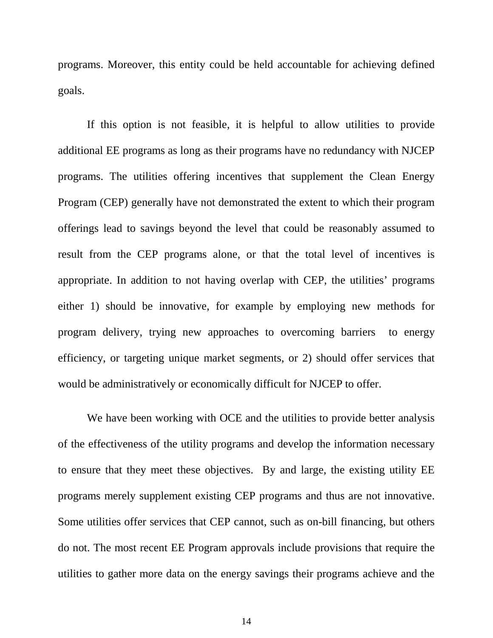programs. Moreover, this entity could be held accountable for achieving defined goals.

If this option is not feasible, it is helpful to allow utilities to provide additional EE programs as long as their programs have no redundancy with NJCEP programs. The utilities offering incentives that supplement the Clean Energy Program (CEP) generally have not demonstrated the extent to which their program offerings lead to savings beyond the level that could be reasonably assumed to result from the CEP programs alone, or that the total level of incentives is appropriate. In addition to not having overlap with CEP, the utilities' programs either 1) should be innovative, for example by employing new methods for program delivery, trying new approaches to overcoming barriers to energy efficiency, or targeting unique market segments, or 2) should offer services that would be administratively or economically difficult for NJCEP to offer.

We have been working with OCE and the utilities to provide better analysis of the effectiveness of the utility programs and develop the information necessary to ensure that they meet these objectives. By and large, the existing utility EE programs merely supplement existing CEP programs and thus are not innovative. Some utilities offer services that CEP cannot, such as on-bill financing, but others do not. The most recent EE Program approvals include provisions that require the utilities to gather more data on the energy savings their programs achieve and the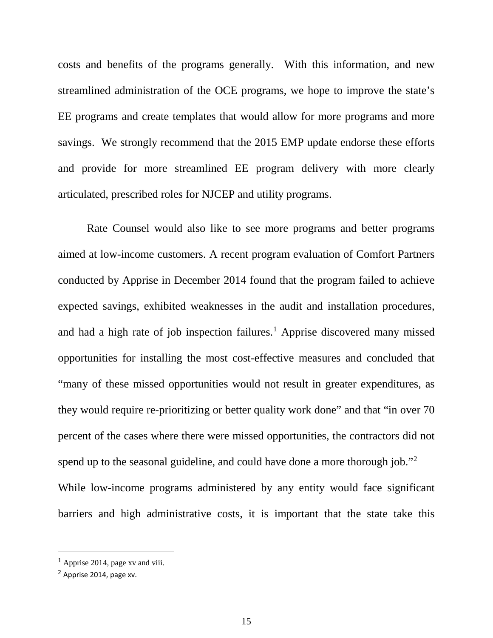costs and benefits of the programs generally. With this information, and new streamlined administration of the OCE programs, we hope to improve the state's EE programs and create templates that would allow for more programs and more savings. We strongly recommend that the 2015 EMP update endorse these efforts and provide for more streamlined EE program delivery with more clearly articulated, prescribed roles for NJCEP and utility programs.

Rate Counsel would also like to see more programs and better programs aimed at low-income customers. A recent program evaluation of Comfort Partners conducted by Apprise in December 2014 found that the program failed to achieve expected savings, exhibited weaknesses in the audit and installation procedures, and had a high rate of job inspection failures.<sup>[1](#page-14-0)</sup> Apprise discovered many missed opportunities for installing the most cost-effective measures and concluded that "many of these missed opportunities would not result in greater expenditures, as they would require re-prioritizing or better quality work done" and that "in over 70 percent of the cases where there were missed opportunities, the contractors did not spend up to the seasonal guideline, and could have done a more thorough job."<sup>[2](#page-14-1)</sup> While low-income programs administered by any entity would face significant barriers and high administrative costs, it is important that the state take this

 $\overline{a}$ 

<span id="page-14-0"></span><sup>1</sup> Apprise 2014, page xv and viii.

<span id="page-14-1"></span><sup>2</sup> Apprise 2014, page xv.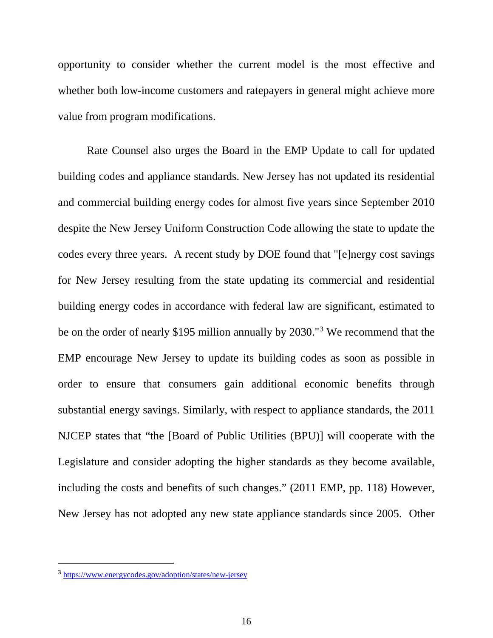opportunity to consider whether the current model is the most effective and whether both low-income customers and ratepayers in general might achieve more value from program modifications.

Rate Counsel also urges the Board in the EMP Update to call for updated building codes and appliance standards. New Jersey has not updated its residential and commercial building energy codes for almost five years since September 2010 despite the New Jersey Uniform Construction Code allowing the state to update the codes every three years. A recent study by DOE found that "[e]nergy cost savings for New Jersey resulting from the state updating its commercial and residential building energy codes in accordance with federal law are significant, estimated to be on the order of nearly \$195 million annually by 2030."[3](#page-15-0) We recommend that the EMP encourage New Jersey to update its building codes as soon as possible in order to ensure that consumers gain additional economic benefits through substantial energy savings. Similarly, with respect to appliance standards, the 2011 NJCEP states that "the [Board of Public Utilities (BPU)] will cooperate with the Legislature and consider adopting the higher standards as they become available, including the costs and benefits of such changes." (2011 EMP, pp. 118) However, New Jersey has not adopted any new state appliance standards since 2005. Other

 $\overline{a}$ 

<span id="page-15-0"></span><sup>3</sup> <https://www.energycodes.gov/adoption/states/new-jersey>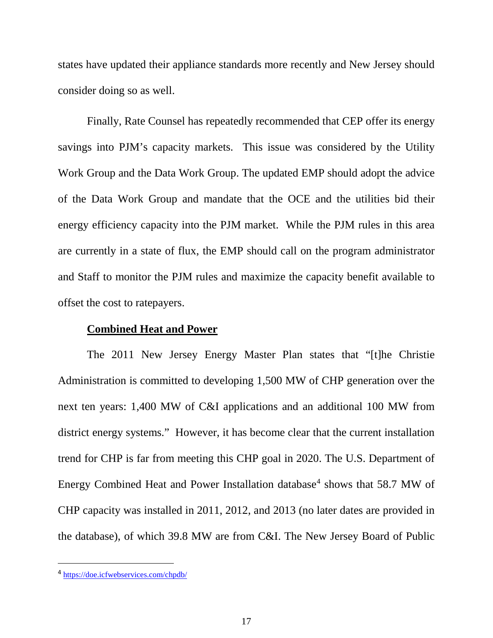states have updated their appliance standards more recently and New Jersey should consider doing so as well.

Finally, Rate Counsel has repeatedly recommended that CEP offer its energy savings into PJM's capacity markets. This issue was considered by the Utility Work Group and the Data Work Group. The updated EMP should adopt the advice of the Data Work Group and mandate that the OCE and the utilities bid their energy efficiency capacity into the PJM market. While the PJM rules in this area are currently in a state of flux, the EMP should call on the program administrator and Staff to monitor the PJM rules and maximize the capacity benefit available to offset the cost to ratepayers.

### **Combined Heat and Power**

The 2011 New Jersey Energy Master Plan states that "[t]he Christie Administration is committed to developing 1,500 MW of CHP generation over the next ten years: 1,400 MW of C&I applications and an additional 100 MW from district energy systems." However, it has become clear that the current installation trend for CHP is far from meeting this CHP goal in 2020. The U.S. Department of Energy Combined Heat and Power Installation database<sup>[4](#page-16-0)</sup> shows that 58.7 MW of CHP capacity was installed in 2011, 2012, and 2013 (no later dates are provided in the database), of which 39.8 MW are from C&I. The New Jersey Board of Public

 $\overline{a}$ 

<span id="page-16-0"></span><sup>4</sup> <https://doe.icfwebservices.com/chpdb/>